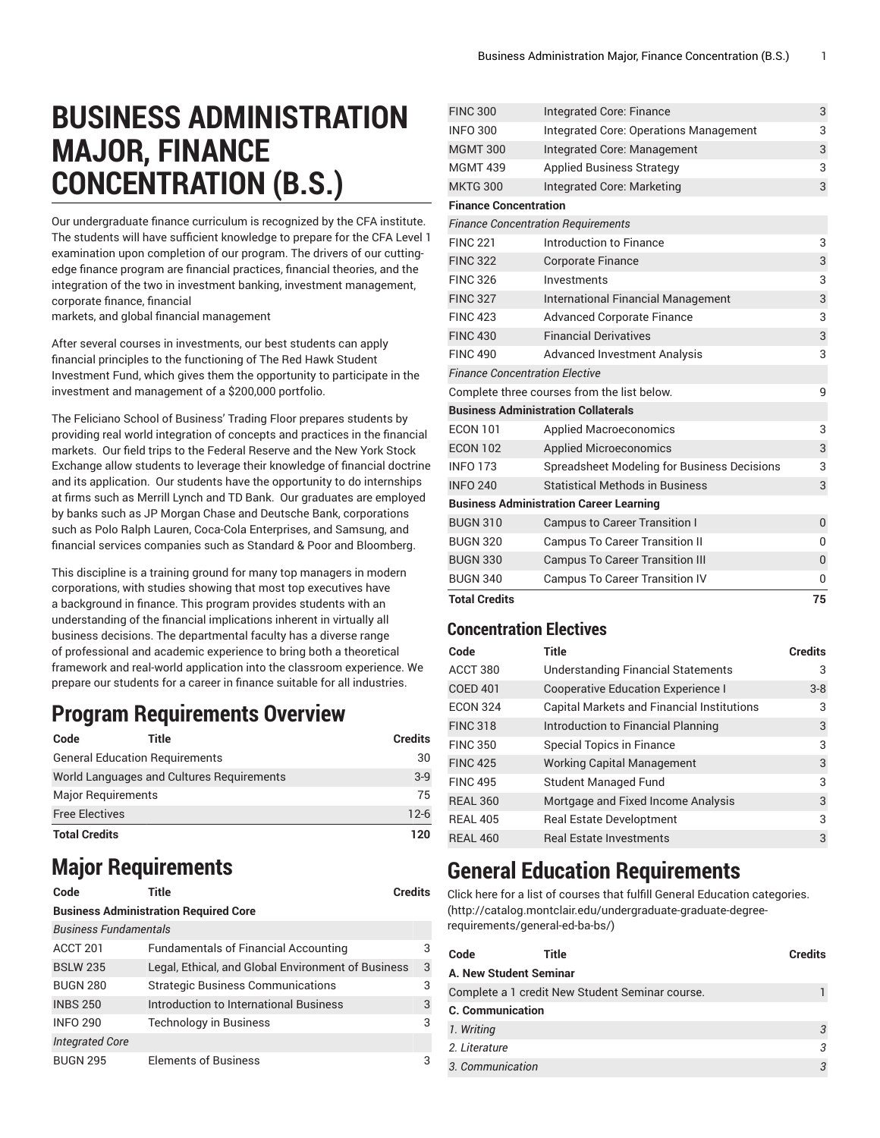# **BUSINESS ADMINISTRATION MAJOR, FINANCE CONCENTRATION (B.S.)**

Our undergraduate finance curriculum is recognized by the CFA institute. The students will have sufficient knowledge to prepare for the CFA Level 1 examination upon completion of our program. The drivers of our cuttingedge finance program are financial practices, financial theories, and the integration of the two in investment banking, investment management, corporate finance, financial

markets, and global financial management

After several courses in investments, our best students can apply financial principles to the functioning of The Red Hawk Student Investment Fund, which gives them the opportunity to participate in the investment and management of a \$200,000 portfolio.

The Feliciano School of Business' Trading Floor prepares students by providing real world integration of concepts and practices in the financial markets. Our field trips to the Federal Reserve and the New York Stock Exchange allow students to leverage their knowledge of financial doctrine and its application. Our students have the opportunity to do internships at firms such as Merrill Lynch and TD Bank. Our graduates are employed by banks such as JP Morgan Chase and Deutsche Bank, corporations such as Polo Ralph Lauren, Coca-Cola Enterprises, and Samsung, and financial services companies such as Standard & Poor and Bloomberg.

This discipline is a training ground for many top managers in modern corporations, with studies showing that most top executives have a background in finance. This program provides students with an understanding of the financial implications inherent in virtually all business decisions. The departmental faculty has a diverse range of professional and academic experience to bring both a theoretical framework and real-world application into the classroom experience. We prepare our students for a career in finance suitable for all industries.

### **Program Requirements Overview**

| Code                      | Title                                     | <b>Credits</b> |
|---------------------------|-------------------------------------------|----------------|
|                           | <b>General Education Requirements</b>     | 30             |
|                           | World Languages and Cultures Requirements | $3-9$          |
| <b>Major Requirements</b> |                                           | 75             |
| <b>Free Electives</b>     |                                           | $12-6$         |
| <b>Total Credits</b>      |                                           | 120            |

## **Major Requirements**

**Code Title Credits**

#### **Business Administration Required Core**

| <b>Business Fundamentals</b> |                                                    |    |
|------------------------------|----------------------------------------------------|----|
| ACCT 201                     | <b>Fundamentals of Financial Accounting</b>        | 3  |
| <b>BSLW 235</b>              | Legal, Ethical, and Global Environment of Business | -3 |
| <b>BUGN 280</b>              | <b>Strategic Business Communications</b>           | 3  |
| <b>INBS 250</b>              | Introduction to International Business             | 3  |
| <b>INFO 290</b>              | <b>Technology in Business</b>                      | 3  |
| <b>Integrated Core</b>       |                                                    |    |
| <b>BUGN 295</b>              | <b>Elements of Business</b>                        | 3  |

| <b>Total Credits</b>                      |                                                | 75             |
|-------------------------------------------|------------------------------------------------|----------------|
| <b>BUGN 340</b>                           | <b>Campus To Career Transition IV</b>          | 0              |
| <b>BUGN 330</b>                           | <b>Campus To Career Transition III</b>         | $\overline{0}$ |
| <b>BUGN 320</b>                           | <b>Campus To Career Transition II</b>          | 0              |
| <b>BUGN 310</b>                           | <b>Campus to Career Transition I</b>           | 0              |
|                                           | <b>Business Administration Career Learning</b> |                |
| <b>INFO 240</b>                           | <b>Statistical Methods in Business</b>         | 3              |
| <b>INFO 173</b>                           | Spreadsheet Modeling for Business Decisions    | 3              |
| <b>ECON 102</b>                           | <b>Applied Microeconomics</b>                  | 3              |
| <b>ECON 101</b>                           | <b>Applied Macroeconomics</b>                  | 3              |
|                                           | <b>Business Administration Collaterals</b>     |                |
|                                           | Complete three courses from the list below.    | 9              |
| <b>Finance Concentration Elective</b>     |                                                |                |
| <b>FINC 490</b>                           | <b>Advanced Investment Analysis</b>            | 3              |
| <b>FINC 430</b>                           | <b>Financial Derivatives</b>                   | 3              |
| <b>FINC 423</b>                           | <b>Advanced Corporate Finance</b>              | 3              |
| <b>FINC 327</b>                           | <b>International Financial Management</b>      | 3              |
| <b>FINC 326</b>                           | Investments                                    | 3              |
| <b>FINC 322</b>                           | <b>Corporate Finance</b>                       | 3              |
| <b>FINC 221</b>                           | Introduction to Finance                        | 3              |
| <b>Finance Concentration Requirements</b> |                                                |                |
| <b>Finance Concentration</b>              |                                                |                |
| <b>MKTG 300</b>                           | Integrated Core: Marketing                     | 3              |
| <b>MGMT 439</b>                           | <b>Applied Business Strategy</b>               | 3              |
| <b>MGMT 300</b>                           | Integrated Core: Management                    | 3              |
| <b>INFO 300</b>                           | Integrated Core: Operations Management         | 3              |
| <b>FINC 300</b>                           | Integrated Core: Finance                       | 3              |

#### **Concentration Electives**

| Code            | Title                                      | <b>Credits</b> |
|-----------------|--------------------------------------------|----------------|
| ACCT 380        | Understanding Financial Statements         | 3              |
| <b>COED 401</b> | <b>Cooperative Education Experience I</b>  | $3 - 8$        |
| <b>ECON 324</b> | Capital Markets and Financial Institutions | 3              |
| <b>FINC 318</b> | Introduction to Financial Planning         | 3              |
| <b>FINC 350</b> | <b>Special Topics in Finance</b>           | 3              |
| <b>FINC 425</b> | <b>Working Capital Management</b>          | 3              |
| <b>FINC 495</b> | <b>Student Managed Fund</b>                | 3              |
| <b>REAL 360</b> | Mortgage and Fixed Income Analysis         | 3              |
| <b>REAL 405</b> | <b>Real Estate Developtment</b>            | 3              |
| <b>REAL 460</b> | <b>Real Estate Investments</b>             | 3              |

## **General Education Requirements**

Click here for a list of courses that fulfill General Education [categories.](http://catalog.montclair.edu/undergraduate-graduate-degree-requirements/general-ed-ba-bs/) [\(http://catalog.montclair.edu/undergraduate-graduate-degree](http://catalog.montclair.edu/undergraduate-graduate-degree-requirements/general-ed-ba-bs/)[requirements/general-ed-ba-bs/](http://catalog.montclair.edu/undergraduate-graduate-degree-requirements/general-ed-ba-bs/))

| Code                    | Title                                           | Credits |
|-------------------------|-------------------------------------------------|---------|
| A. New Student Seminar  |                                                 |         |
|                         | Complete a 1 credit New Student Seminar course. |         |
| <b>C.</b> Communication |                                                 |         |
| 1. Writing              |                                                 |         |
| 2. Literature           |                                                 |         |
| 3. Communication        |                                                 | 3       |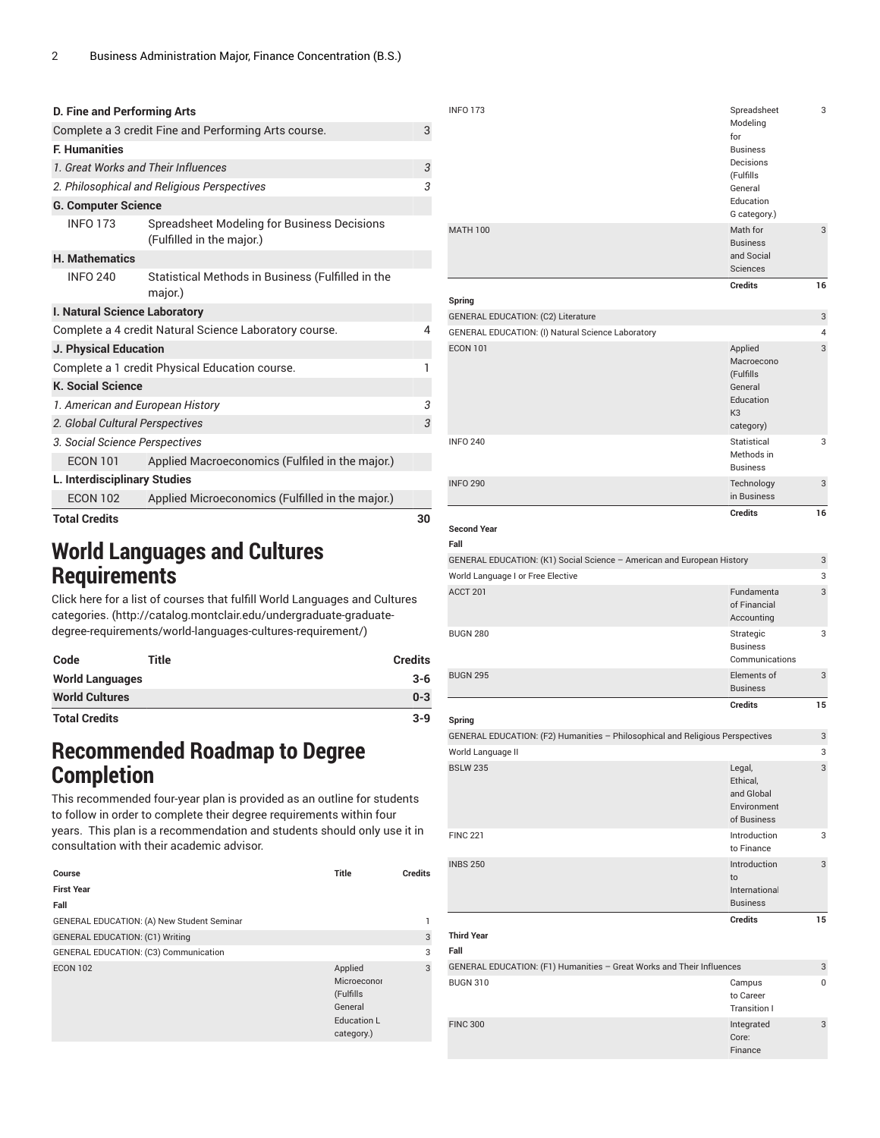| D. Fine and Performing Arts      |                                                                          |    |
|----------------------------------|--------------------------------------------------------------------------|----|
|                                  | Complete a 3 credit Fine and Performing Arts course.                     | 3  |
| <b>F. Humanities</b>             |                                                                          |    |
|                                  | 1. Great Works and Their Influences                                      | 3  |
|                                  | 2. Philosophical and Religious Perspectives                              | 3  |
| <b>G. Computer Science</b>       |                                                                          |    |
| <b>INFO 173</b>                  | Spreadsheet Modeling for Business Decisions<br>(Fulfilled in the major.) |    |
| <b>H. Mathematics</b>            |                                                                          |    |
| <b>INFO 240</b>                  | Statistical Methods in Business (Fulfilled in the<br>major.)             |    |
| I. Natural Science Laboratory    |                                                                          |    |
|                                  | Complete a 4 credit Natural Science Laboratory course.                   | 4  |
| <b>J. Physical Education</b>     |                                                                          |    |
|                                  | Complete a 1 credit Physical Education course.                           | ı  |
| <b>K. Social Science</b>         |                                                                          |    |
| 1. American and European History |                                                                          | 3  |
| 2. Global Cultural Perspectives  |                                                                          | 3  |
| 3. Social Science Perspectives   |                                                                          |    |
| <b>ECON 101</b>                  | Applied Macroeconomics (Fulfiled in the major.)                          |    |
| L. Interdisciplinary Studies     |                                                                          |    |
| <b>ECON 102</b>                  | Applied Microeconomics (Fulfilled in the major.)                         |    |
| <b>Total Credits</b>             |                                                                          | 30 |

## **World Languages and Cultures Requirements**

Click here for a list of courses that fulfill World [Languages](http://catalog.montclair.edu/undergraduate-graduate-degree-requirements/world-languages-cultures-requirement/) and Cultures [categories.](http://catalog.montclair.edu/undergraduate-graduate-degree-requirements/world-languages-cultures-requirement/) ([http://catalog.montclair.edu/undergraduate-graduate](http://catalog.montclair.edu/undergraduate-graduate-degree-requirements/world-languages-cultures-requirement/)[degree-requirements/world-languages-cultures-requirement/](http://catalog.montclair.edu/undergraduate-graduate-degree-requirements/world-languages-cultures-requirement/))

| Code                   | <b>Title</b> | <b>Credits</b> |
|------------------------|--------------|----------------|
| <b>World Languages</b> |              | $3 - 6$        |
| <b>World Cultures</b>  |              | $0 - 3$        |
| <b>Total Credits</b>   |              | $3 - 9$        |

### **Recommended Roadmap to Degree Completion**

This recommended four-year plan is provided as an outline for students to follow in order to complete their degree requirements within four years. This plan is a recommendation and students should only use it in consultation with their academic advisor.

| Course                                     | <b>Title</b>                                                                       | <b>Credits</b> |
|--------------------------------------------|------------------------------------------------------------------------------------|----------------|
| <b>First Year</b>                          |                                                                                    |                |
| Fall                                       |                                                                                    |                |
| GENERAL EDUCATION: (A) New Student Seminar |                                                                                    | 1              |
| <b>GENERAL EDUCATION: (C1) Writing</b>     |                                                                                    | 3              |
| GENERAL EDUCATION: (C3) Communication      |                                                                                    | 3              |
| <b>ECON 102</b>                            | Applied<br>Microeconor<br>(Fulfills<br>General<br><b>Education L</b><br>category.) | 3              |

| <b>INFO 173</b>                                   | Spreadsheet<br>Modeling<br>for<br><b>Business</b><br>Decisions<br>(Fulfills<br>General<br>Education<br>G category.) | 3              |
|---------------------------------------------------|---------------------------------------------------------------------------------------------------------------------|----------------|
| <b>MATH 100</b>                                   | Math for<br><b>Business</b><br>and Social<br>Sciences                                                               | 3              |
| Spring                                            | <b>Credits</b>                                                                                                      | 16             |
|                                                   |                                                                                                                     |                |
| <b>GENERAL EDUCATION: (C2) Literature</b>         |                                                                                                                     | 3              |
| GENERAL EDUCATION: (I) Natural Science Laboratory |                                                                                                                     | $\overline{4}$ |
| <b>ECON 101</b>                                   | Applied<br>Macroecono<br>(Fulfills<br>General<br>Education<br>K <sub>3</sub><br>category)                           | 3              |
| <b>INFO 240</b>                                   | Statistical<br>Methods in<br><b>Business</b>                                                                        | 3              |
| <b>INFO 290</b>                                   | Technology<br>in Business                                                                                           | 3              |

**Credits 16**

#### **Second Year**

| Fall                                                                          |                                                                |    |
|-------------------------------------------------------------------------------|----------------------------------------------------------------|----|
| GENERAL EDUCATION: (K1) Social Science - American and European History        |                                                                | 3  |
| World Language I or Free Elective                                             |                                                                | 3  |
| ACCT 201                                                                      | <b>Fundamenta</b><br>of Financial<br>Accounting                | 3  |
| <b>BUGN 280</b>                                                               | Strategic<br><b>Business</b><br>Communications                 | 3  |
| <b>BUGN 295</b>                                                               | Elements of<br><b>Business</b>                                 | 3  |
|                                                                               | <b>Credits</b>                                                 | 15 |
| Spring                                                                        |                                                                |    |
| GENERAL EDUCATION: (F2) Humanities - Philosophical and Religious Perspectives |                                                                | 3  |
| World Language II                                                             |                                                                | 3  |
| <b>BSLW 235</b>                                                               | Legal,<br>Ethical.<br>and Global<br>Environment<br>of Business | 3  |
| <b>FINC 221</b>                                                               | Introduction<br>to Finance                                     | 3  |
| <b>INBS 250</b>                                                               | Introduction<br>to<br>International<br><b>Business</b>         | 3  |
|                                                                               | <b>Credits</b>                                                 | 15 |
| <b>Third Year</b>                                                             |                                                                |    |

#### **Fall**

| GENERAL EDUCATION: (F1) Humanities - Great Works and Their Influences |                                     | 3 |
|-----------------------------------------------------------------------|-------------------------------------|---|
| <b>BUGN 310</b>                                                       | Campus<br>to Career<br>Transition I | 0 |
| <b>FINC 300</b>                                                       | Integrated<br>Core:<br>Finance      | 3 |